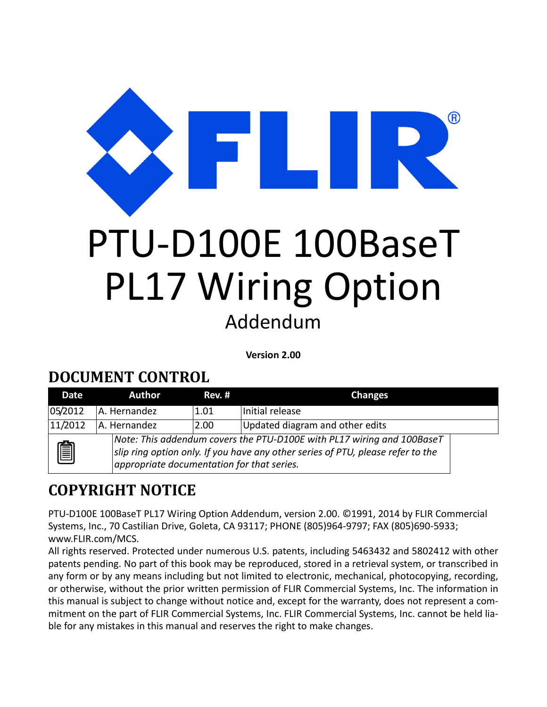ന്ദ്ര PTU‐D100E 100BaseT PL17 Wiring Option Addendum

**Version 2.00**

#### **DOCUMENT CONTROL**

| Date                                                                                                                                                                                                         | <b>Author</b> | Rev. # | <b>Changes</b>                  |
|--------------------------------------------------------------------------------------------------------------------------------------------------------------------------------------------------------------|---------------|--------|---------------------------------|
| 05/2012                                                                                                                                                                                                      | A. Hernandez  | 1.01   | Initial release                 |
| 11/2012                                                                                                                                                                                                      | A. Hernandez  | 2.00   | Updated diagram and other edits |
| Note: This addendum covers the PTU-D100E with PL17 wiring and 100BaseT<br>圎<br>slip ring option only. If you have any other series of PTU, please refer to the<br>appropriate documentation for that series. |               |        |                                 |

#### **COPYRIGHT NOTICE**

PTU-D100E 100BaseT PL17 Wiring Option Addendum, version 2.00. ©1991, 2014 by FLIR Commercial Systems, Inc., 70 Castilian Drive, Goleta, CA 93117; PHONE (805)964‐9797; FAX (805)690‐5933; www.FLIR.com/MCS.

All rights reserved. Protected under numerous U.S. patents, including 5463432 and 5802412 with other patents pending. No part of this book may be reproduced, stored in a retrieval system, or transcribed in any form or by any means including but not limited to electronic, mechanical, photocopying, recording, or otherwise, without the prior written permission of FLIR Commercial Systems, Inc. The information in this manual is subject to change without notice and, except for the warranty, does not represent a com‐ mitment on the part of FLIR Commercial Systems, Inc. FLIR Commercial Systems, Inc. cannot be held lia‐ ble for any mistakes in this manual and reserves the right to make changes.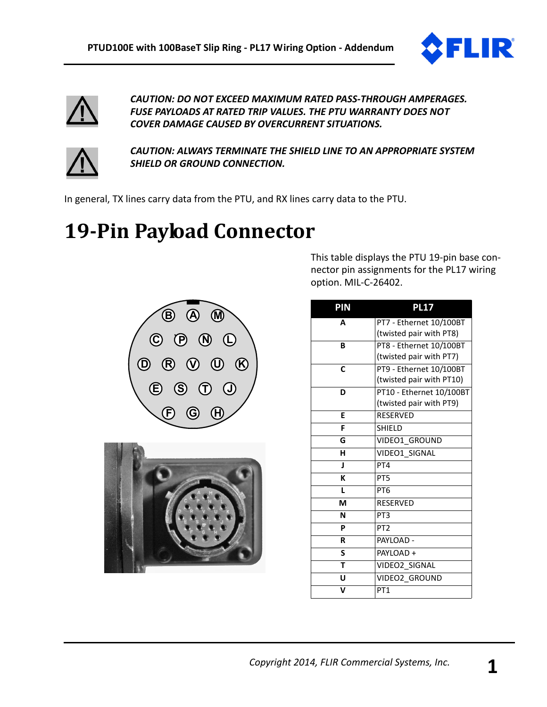



*CAUTION: DO NOT EXCEED MAXIMUM RATED PASS‐THROUGH AMPERAGES. FUSE PAYLOADS AT RATED TRIP VALUES. THE PTU WARRANTY DOES NOT COVER DAMAGE CAUSED BY OVERCURRENT SITUATIONS.*



*CAUTION: ALWAYS TERMINATE THE SHIELD LINE TO AN APPROPRIATE SYSTEM SHIELD OR GROUND CONNECTION.*

In general, TX lines carry data from the PTU, and RX lines carry data to the PTU.

## **19‐Pin Payload Connector**





This table displays the PTU 19‐pin base con‐ nector pin assignments for the PL17 wiring option. MIL‐C‐26402.

| PIN          | <b>PL17</b>              |
|--------------|--------------------------|
| A            | PT7 - Ethernet 10/100BT  |
|              | (twisted pair with PT8)  |
| B            | PT8 - Ethernet 10/100BT  |
|              | (twisted pair with PT7)  |
| C            | PT9 - Ethernet 10/100BT  |
|              | (twisted pair with PT10) |
| D            | PT10 - Ethernet 10/100BT |
|              | (twisted pair with PT9)  |
| E            | <b>RESERVED</b>          |
| F            | <b>SHIELD</b>            |
| G            | VIDEO1 GROUND            |
| н            | VIDEO1 SIGNAL            |
| $\mathbf{I}$ | PT4                      |
| K            | PT <sub>5</sub>          |
| I.           | PT <sub>6</sub>          |
| M            | <b>RESERVED</b>          |
| N            | PT <sub>3</sub>          |
| P            | PT <sub>2</sub>          |
| R            | PAYLOAD -                |
| S            | PAYLOAD+                 |
| T            | VIDEO2 SIGNAL            |
| U            | VIDEO2 GROUND            |
| V            | PT <sub>1</sub>          |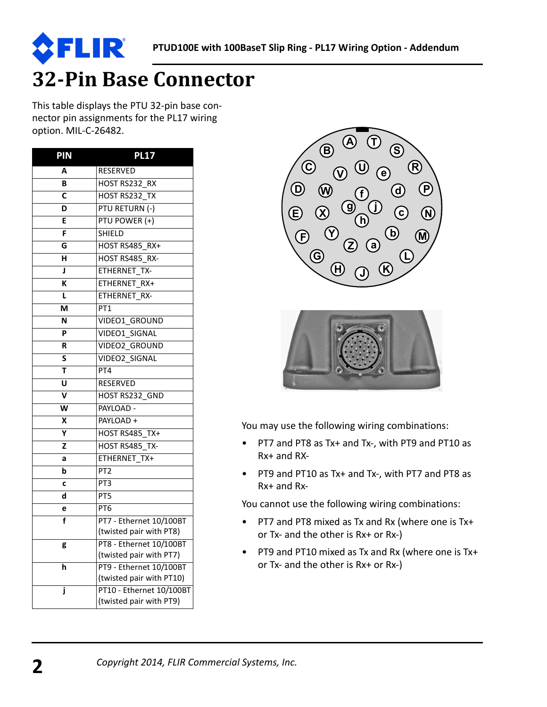

# **32‐Pin Base Connector**

This table displays the PTU 32‐pin base con‐ nector pin assignments for the PL17 wiring option. MIL‐C‐26482.

R

| PIN | <b>PL17</b>                                         |
|-----|-----------------------------------------------------|
| Α   | RESERVED                                            |
| В   | HOST RS232 RX                                       |
| C   | HOST RS232 TX                                       |
| D   | PTU RETURN (-)                                      |
| E   | PTU POWER (+)                                       |
| F   | <b>SHIELD</b>                                       |
| G   | HOST RS485 RX+                                      |
| н   | HOST RS485 RX-                                      |
| J   | ETHERNET TX-                                        |
| K   | ETHERNET RX+                                        |
| L   | ETHERNET RX-                                        |
| M   | PT <sub>1</sub>                                     |
| N   | VIDEO1 GROUND                                       |
| P   | VIDEO1_SIGNAL                                       |
| R   | VIDEO2_GROUND                                       |
| S   | <b>VIDEO2 SIGNAL</b>                                |
| T   | PT4                                                 |
| U   | <b>RESERVED</b>                                     |
| V   | HOST RS232 GND                                      |
| W   | PAYLOAD -                                           |
| X   | PAYLOAD +                                           |
| Υ   | HOST RS485 TX+                                      |
| Z   | HOST RS485 TX-                                      |
| а   | ETHERNET TX+                                        |
| b   | PT <sub>2</sub>                                     |
| C   | PT <sub>3</sub>                                     |
| d   | PT5                                                 |
| e   | PT <sub>6</sub>                                     |
| f   | PT7 - Ethernet 10/100BT                             |
|     | (twisted pair with PT8)                             |
| g   | PT8 - Ethernet 10/100BT                             |
|     | (twisted pair with PT7)                             |
| h   | PT9 - Ethernet 10/100BT<br>(twisted pair with PT10) |
| j   | PT10 - Ethernet 10/100BT                            |
|     | (twisted pair with PT9)                             |
|     |                                                     |





You may use the following wiring combinations:

- PT7 and PT8 as Tx+ and Tx‐, with PT9 and PT10 as Rx+ and RX‐
- PT9 and PT10 as Tx+ and Tx‐, with PT7 and PT8 as Rx+ and Rx‐

You cannot use the following wiring combinations:

- PT7 and PT8 mixed as Tx and Rx (where one is Tx+ or Tx‐ and the other is Rx+ or Rx‐)
- PT9 and PT10 mixed as Tx and Rx (where one is Tx+ or Tx‐ and the other is Rx+ or Rx‐)